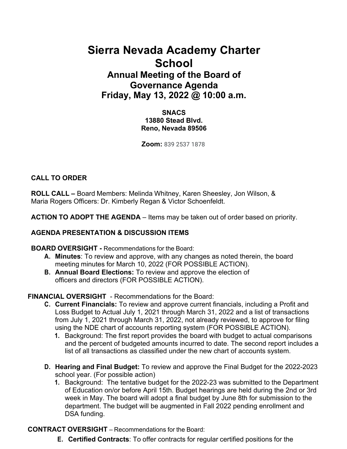# **Sierra Nevada Academy Charter School Annual Meeting of the Board of Governance Agenda Friday, May 13, 2022 @ 10:00 a.m.**

**SNACS 13880 Stead Blvd. Reno, Nevada 89506**

**Zoom:** 839 2537 1878

## **CALL TO ORDER**

**ROLL CALL –** Board Members: Melinda Whitney, Karen Sheesley, Jon Wilson, & Maria Rogers Officers: Dr. Kimberly Regan & Victor Schoenfeldt.

**ACTION TO ADOPT THE AGENDA** – Items may be taken out of order based on priority.

## **AGENDA PRESENTATION & DISCUSSION ITEMS**

## **BOARD OVERSIGHT -** Recommendations for the Board:

- **A. Minutes**: To review and approve, with any changes as noted therein, the board meeting minutes for March 10, 2022 (FOR POSSIBLE ACTION).
- **B. Annual Board Elections:** To review and approve the election of officers and directors (FOR POSSIBLE ACTION).

## **FINANCIAL OVERSIGHT** - Recommendations for the Board:

- **C. Current Financials:** To review and approve current financials, including a Profit and Loss Budget to Actual July 1, 2021 through March 31, 2022 and a list of transactions from July 1, 2021 through March 31, 2022, not already reviewed, to approve for filing using the NDE chart of accounts reporting system (FOR POSSIBLE ACTION).
	- **1.** Background: The first report provides the board with budget to actual comparisons and the percent of budgeted amounts incurred to date. The second report includes a list of all transactions as classified under the new chart of accounts system.
- **D. Hearing and Final Budget:** To review and approve the Final Budget for the 2022-2023 school year. (For possible action)
	- **1.** Background: The tentative budget for the 2022-23 was submitted to the Department of Education on/or before April 15th. Budget hearings are held during the 2nd or 3rd week in May. The board will adopt a final budget by June 8th for submission to the department. The budget will be augmented in Fall 2022 pending enrollment and DSA funding.

**CONTRACT OVERSIGHT** – Recommendations for the Board:

**E. Certified Contracts**: To offer contracts for regular certified positions for the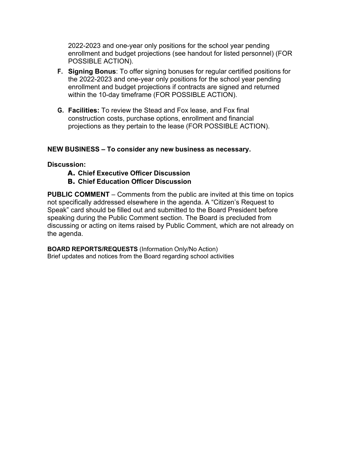2022-2023 and one-year only positions for the school year pending enrollment and budget projections (see handout for listed personnel) (FOR POSSIBLE ACTION).

- **F. Signing Bonus**: To offer signing bonuses for regular certified positions for the 2022-2023 and one-year only positions for the school year pending enrollment and budget projections if contracts are signed and returned within the 10-day timeframe (FOR POSSIBLE ACTION).
- **G. Facilities:** To review the Stead and Fox lease, and Fox final construction costs, purchase options, enrollment and financial projections as they pertain to the lease (FOR POSSIBLE ACTION).

#### **NEW BUSINESS – To consider any new business as necessary.**

#### **Discussion:**

- **A. Chief Executive Officer Discussion**
- **B. Chief Education Officer Discussion**

**PUBLIC COMMENT** – Comments from the public are invited at this time on topics not specifically addressed elsewhere in the agenda. A "Citizen's Request to Speak" card should be filled out and submitted to the Board President before speaking during the Public Comment section. The Board is precluded from discussing or acting on items raised by Public Comment, which are not already on the agenda.

**BOARD REPORTS/REQUESTS** (Information Only/No Action) Brief updates and notices from the Board regarding school activities